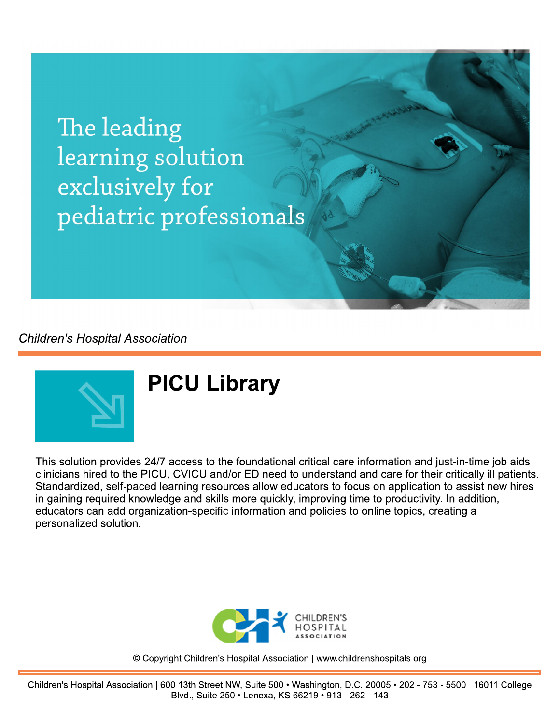The leading learning solution exclusively for pediatric professionals

**Children's Hospital Association** 



## **PICU Library**

This solution provides 24/7 access to the foundational critical care information and just-in-time job aids clinicians hired to the PICU, CVICU and/or ED need to understand and care for their critically ill patients. Standardized, self-paced learning resources allow educators to focus on application to assist new hires in gaining required knowledge and skills more quickly, improving time to productivity. In addition, educators can add organization-specific information and policies to online topics, creating a personalized solution.



© Copyright Children's Hospital Association | www.childrenshospitals.org

Children's Hospital Association | 600 13th Street NW, Suite 500 · Washington, D.C. 20005 · 202 - 753 - 5500 | 16011 College Blvd., Suite 250 · Lenexa, KS 66219 · 913 - 262 - 143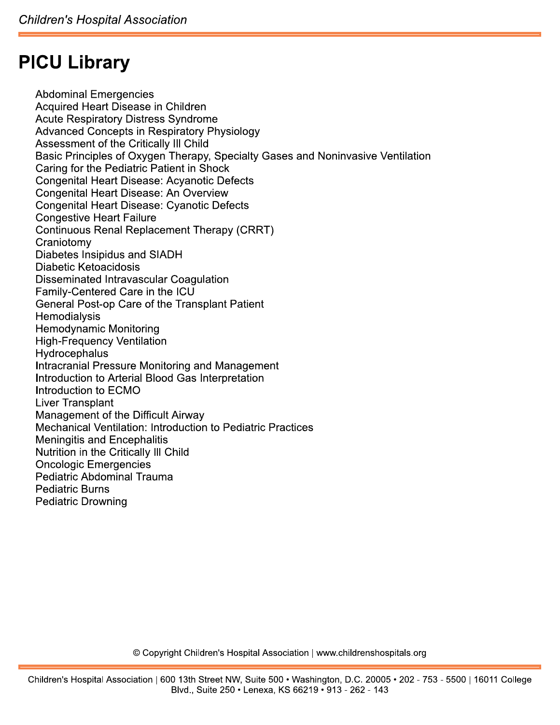## **PICU Library**

**Abdominal Emergencies Acquired Heart Disease in Children Acute Respiratory Distress Syndrome Advanced Concepts in Respiratory Physiology** Assessment of the Critically III Child Basic Principles of Oxygen Therapy, Specialty Gases and Noninvasive Ventilation Caring for the Pediatric Patient in Shock Congenital Heart Disease: Acyanotic Defects **Congenital Heart Disease: An Overview** Congenital Heart Disease: Cyanotic Defects **Congestive Heart Failure** Continuous Renal Replacement Therapy (CRRT) Craniotomy Diabetes Insipidus and SIADH Diabetic Ketoacidosis Disseminated Intravascular Coagulation Family-Centered Care in the ICU General Post-op Care of the Transplant Patient Hemodialysis **Hemodynamic Monitoring High-Frequency Ventilation** Hydrocephalus Intracranial Pressure Monitoring and Management Introduction to Arterial Blood Gas Interpretation Introduction to ECMO **Liver Transplant Management of the Difficult Airway Mechanical Ventilation: Introduction to Pediatric Practices Meningitis and Encephalitis** Nutrition in the Critically III Child **Oncologic Emergencies Pediatric Abdominal Trauma Pediatric Burns Pediatric Drowning** 

© Copyright Children's Hospital Association | www.childrenshospitals.org